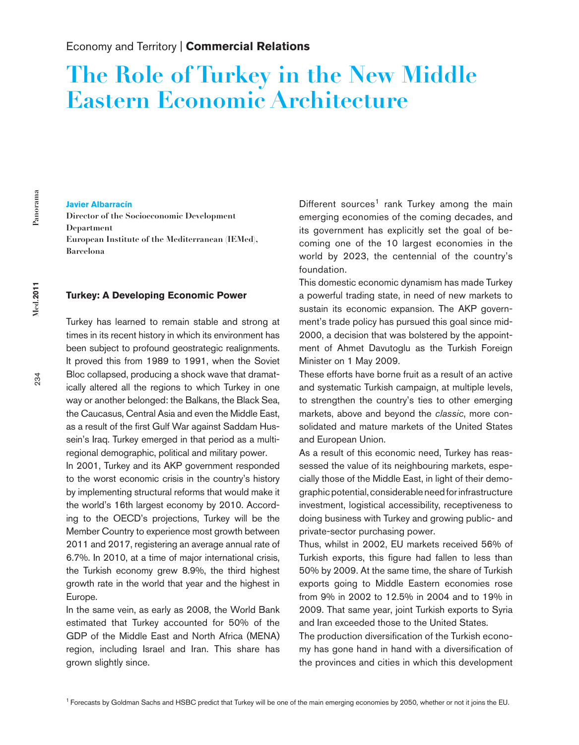# **The Role of Turkey in the New Middle Eastern Economic Architecture**

# 234 **Med.2011 Panorama** Med.2011

## $\tilde{z}$

### **Javier Albarracín**

**Director of the Socioeconomic Development Department European Institute of the Mediterranean (IEMed), Barcelona**

### **Turkey: A Developing Economic Power**

Turkey has learned to remain stable and strong at times in its recent history in which its environment has been subject to profound geostrategic realignments. It proved this from 1989 to 1991, when the Soviet Bloc collapsed, producing a shock wave that dramatically altered all the regions to which Turkey in one way or another belonged: the Balkans, the Black Sea, the Caucasus, Central Asia and even the Middle East, as a result of the first Gulf War against Saddam Hussein's Iraq. Turkey emerged in that period as a multiregional demographic, political and military power.

In 2001, Turkey and its AKP government responded to the worst economic crisis in the country's history by implementing structural reforms that would make it the world's 16th largest economy by 2010. According to the OECD's projections, Turkey will be the Member Country to experience most growth between 2011 and 2017, registering an average annual rate of 6.7%. In 2010, at a time of major international crisis, the Turkish economy grew 8.9%, the third highest growth rate in the world that year and the highest in Europe.

In the same vein, as early as 2008, the World Bank estimated that Turkey accounted for 50% of the GDP of the Middle East and North Africa (MENA) region, including Israel and Iran. This share has grown slightly since.

Different sources<sup>1</sup> rank Turkey among the main emerging economies of the coming decades, and its government has explicitly set the goal of becoming one of the 10 largest economies in the world by 2023, the centennial of the country's foundation.

This domestic economic dynamism has made Turkey a powerful trading state, in need of new markets to sustain its economic expansion. The AKP government's trade policy has pursued this goal since mid-2000, a decision that was bolstered by the appointment of Ahmet Davutoglu as the Turkish Foreign Minister on 1 May 2009.

These efforts have borne fruit as a result of an active and systematic Turkish campaign, at multiple levels, to strengthen the country's ties to other emerging markets, above and beyond the *classic*, more consolidated and mature markets of the United States and European Union.

As a result of this economic need, Turkey has reassessed the value of its neighbouring markets, especially those of the Middle East, in light of their demographic potential, considerable need for infrastructure investment, logistical accessibility, receptiveness to doing business with Turkey and growing public- and private-sector purchasing power.

Thus, whilst in 2002, EU markets received 56% of Turkish exports, this figure had fallen to less than 50% by 2009. At the same time, the share of Turkish exports going to Middle Eastern economies rose from 9% in 2002 to 12.5% in 2004 and to 19% in 2009. That same year, joint Turkish exports to Syria and Iran exceeded those to the United States.

The production diversification of the Turkish economy has gone hand in hand with a diversification of the provinces and cities in which this development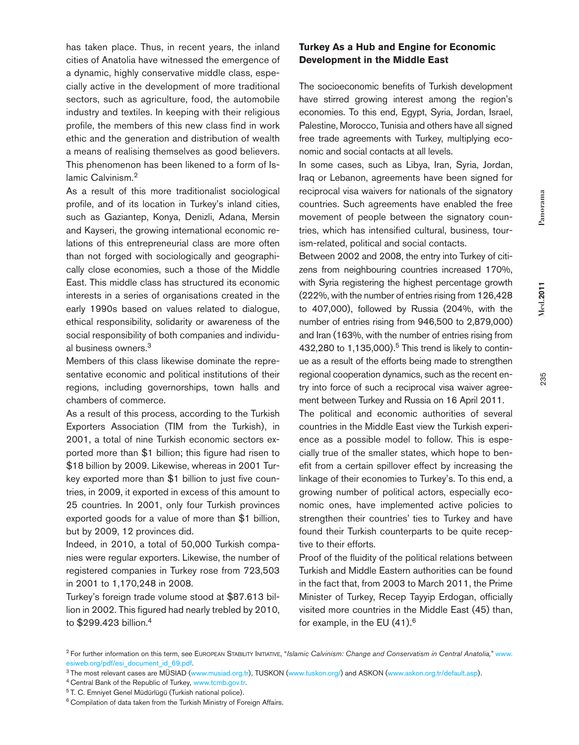235 **Med.2011 Panorama Med.2011** 

235

cities of Anatolia have witnessed the emergence of a dynamic, highly conservative middle class, especially active in the development of more traditional sectors, such as agriculture, food, the automobile industry and textiles. In keeping with their religious profile, the members of this new class find in work ethic and the generation and distribution of wealth a means of realising themselves as good believers. This phenomenon has been likened to a form of Is-

As a result of this more traditionalist sociological profile, and of its location in Turkey's inland cities, such as Gaziantep, Konya, Denizli, Adana, Mersin and Kayseri, the growing international economic relations of this entrepreneurial class are more often than not forged with sociologically and geographically close economies, such a those of the Middle East. This middle class has structured its economic interests in a series of organisations created in the early 1990s based on values related to dialogue, ethical responsibility, solidarity or awareness of the social responsibility of both companies and individual business owners.3

lamic Calvinism.<sup>2</sup>

has taken place. Thus, in recent years, the inland

Members of this class likewise dominate the representative economic and political institutions of their regions, including governorships, town halls and chambers of commerce.

As a result of this process, according to the Turkish Exporters Association (TIM from the Turkish), in 2001, a total of nine Turkish economic sectors exported more than \$1 billion; this figure had risen to \$18 billion by 2009. Likewise, whereas in 2001 Turkey exported more than \$1 billion to just five countries, in 2009, it exported in excess of this amount to 25 countries. In 2001, only four Turkish provinces exported goods for a value of more than \$1 billion, but by 2009, 12 provinces did.

Indeed, in 2010, a total of 50,000 Turkish companies were regular exporters. Likewise, the number of registered companies in Turkey rose from 723,503 in 2001 to 1,170,248 in 2008.

Turkey's foreign trade volume stood at \$87.613 billion in 2002. This figured had nearly trebled by 2010, to \$299.423 billion.4

### **Turkey As a Hub and Engine for Economic Development in the Middle East**

The socioeconomic benefits of Turkish development have stirred growing interest among the region's economies. To this end, Egypt, Syria, Jordan, Israel, Palestine, Morocco, Tunisia and others have all signed free trade agreements with Turkey, multiplying economic and social contacts at all levels.

In some cases, such as Libya, Iran, Syria, Jordan, Iraq or Lebanon, agreements have been signed for reciprocal visa waivers for nationals of the signatory countries. Such agreements have enabled the free movement of people between the signatory countries, which has intensified cultural, business, tourism-related, political and social contacts.

Between 2002 and 2008, the entry into Turkey of citizens from neighbouring countries increased 170%, with Syria registering the highest percentage growth (222%, with the number of entries rising from 126,428 to 407,000), followed by Russia (204%, with the number of entries rising from 946,500 to 2,879,000) and Iran (163%, with the number of entries rising from 432,280 to  $1,135,000$ .<sup>5</sup> This trend is likely to continue as a result of the efforts being made to strengthen regional cooperation dynamics, such as the recent entry into force of such a reciprocal visa waiver agreement between Turkey and Russia on 16 April 2011.

The political and economic authorities of several countries in the Middle East view the Turkish experience as a possible model to follow. This is especially true of the smaller states, which hope to benefit from a certain spillover effect by increasing the linkage of their economies to Turkey's. To this end, a growing number of political actors, especially economic ones, have implemented active policies to strengthen their countries' ties to Turkey and have found their Turkish counterparts to be quite receptive to their efforts.

Proof of the fluidity of the political relations between Turkish and Middle Eastern authorities can be found in the fact that, from 2003 to March 2011, the Prime Minister of Turkey, Recep Tayyip Erdogan, officially visited more countries in the Middle East (45) than, for example, in the EU  $(41).<sup>6</sup>$ 

<sup>&</sup>lt;sup>2</sup> For further information on this term, see EUROPEAN STABILITY INITIATIVE, "Islamic Calvinism: Change and Conservatism in Central Anatolia," www. esiweb.org/pdf/esi\_document\_id\_69.pdf.

<sup>3</sup> The most relevant cases are MÜSIAD (www.musiad.org.tr), TUSKON (www.tuskon.org/) and ASKON (www.askon.org.tr/default.asp).

<sup>4</sup> Central Bank of the Republic of Turkey*,* www.tcmb.gov.tr.

<sup>5</sup> T. C. Emniyet Genel Müdürlügü (Turkish national police).

<sup>&</sup>lt;sup>6</sup> Compilation of data taken from the Turkish Ministry of Foreign Affairs.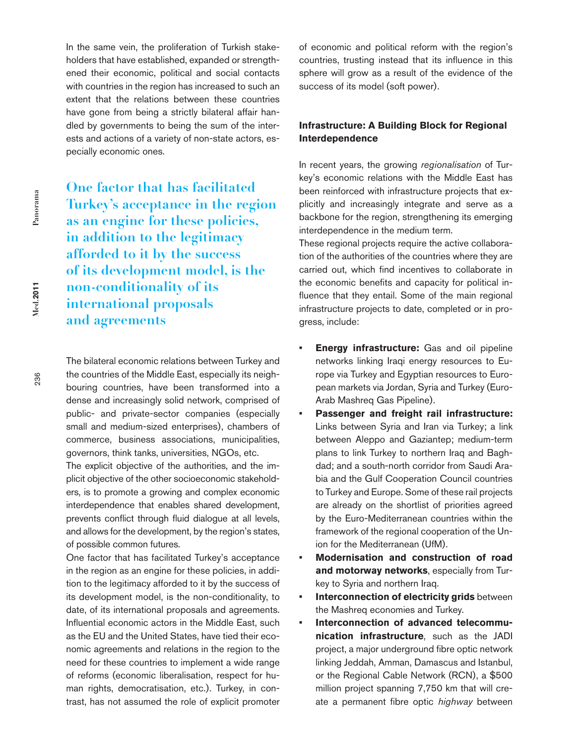In the same vein, the proliferation of Turkish stakeholders that have established, expanded or strengthened their economic, political and social contacts with countries in the region has increased to such an extent that the relations between these countries have gone from being a strictly bilateral affair handled by governments to being the sum of the interests and actions of a variety of non-state actors, especially economic ones.

**One factor that has facilitated Turkey's acceptance in the region as an engine for these policies, in addition to the legitimacy afforded to it by the success of its development model, is the non-conditionality of its international proposals and agreements**

The bilateral economic relations between Turkey and the countries of the Middle East, especially its neighbouring countries, have been transformed into a dense and increasingly solid network, comprised of public- and private-sector companies (especially small and medium-sized enterprises), chambers of commerce, business associations, municipalities, governors, think tanks, universities, NGOs, etc.

The explicit objective of the authorities, and the implicit objective of the other socioeconomic stakeholders, is to promote a growing and complex economic interdependence that enables shared development, prevents conflict through fluid dialogue at all levels, and allows for the development, by the region's states, of possible common futures.

One factor that has facilitated Turkey's acceptance in the region as an engine for these policies, in addition to the legitimacy afforded to it by the success of its development model, is the non-conditionality, to date, of its international proposals and agreements. Influential economic actors in the Middle East, such as the EU and the United States, have tied their economic agreements and relations in the region to the need for these countries to implement a wide range of reforms (economic liberalisation, respect for human rights, democratisation, etc.). Turkey, in contrast, has not assumed the role of explicit promoter

of economic and political reform with the region's countries, trusting instead that its influence in this sphere will grow as a result of the evidence of the success of its model (soft power).

### **Infrastructure: A Building Block for Regional Interdependence**

In recent years, the growing *regionalisation* of Turkey's economic relations with the Middle East has been reinforced with infrastructure projects that explicitly and increasingly integrate and serve as a backbone for the region, strengthening its emerging interdependence in the medium term.

These regional projects require the active collaboration of the authorities of the countries where they are carried out, which find incentives to collaborate in the economic benefits and capacity for political influence that they entail. Some of the main regional infrastructure projects to date, completed or in progress, include:

- **• Energy infrastructure:** Gas and oil pipeline networks linking Iraqi energy resources to Europe via Turkey and Egyptian resources to European markets via Jordan, Syria and Turkey (Euro-Arab Mashreq Gas Pipeline).
- **• Passenger and freight rail infrastructure:**  Links between Syria and Iran via Turkey; a link between Aleppo and Gaziantep; medium-term plans to link Turkey to northern Iraq and Baghdad; and a south-north corridor from Saudi Arabia and the Gulf Cooperation Council countries to Turkey and Europe. Some of these rail projects are already on the shortlist of priorities agreed by the Euro-Mediterranean countries within the framework of the regional cooperation of the Union for the Mediterranean (UfM).
- **• Modernisation and construction of road and motorway networks**, especially from Turkey to Syria and northern Iraq.
- **• Interconnection of electricity grids** between the Mashreq economies and Turkey.
- **• Interconnection of advanced telecommunication infrastructure**, such as the JADI project, a major underground fibre optic network linking Jeddah, Amman, Damascus and Istanbul, or the Regional Cable Network (RCN), a \$500 million project spanning 7,750 km that will create a permanent fibre optic *highway* between

Med.2011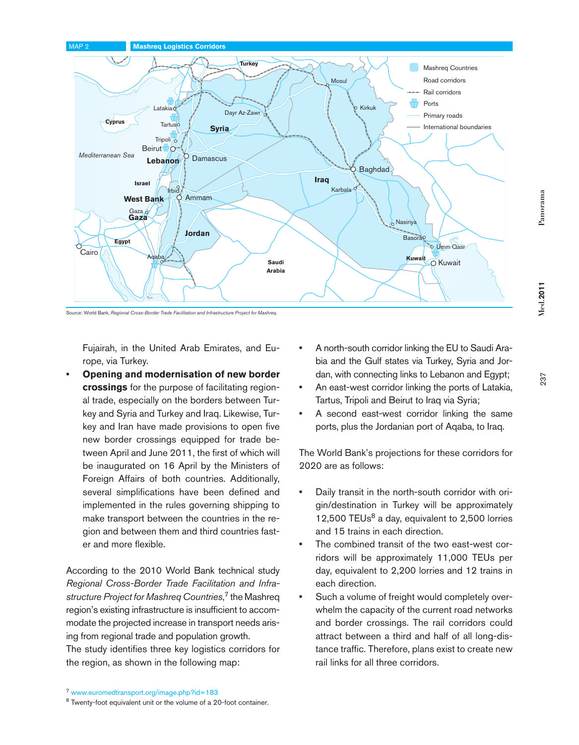

Source: World Bank, *Regional Cross-Border Trade Facilitation and Infrastructure Project for Mashreq.*

Fujairah, in the United Arab Emirates, and Europe, via Turkey.

**• Opening and modernisation of new border crossings** for the purpose of facilitating regional trade, especially on the borders between Turkey and Syria and Turkey and Iraq. Likewise, Turkey and Iran have made provisions to open five new border crossings equipped for trade between April and June 2011, the first of which will be inaugurated on 16 April by the Ministers of Foreign Affairs of both countries. Additionally, several simplifications have been defined and implemented in the rules governing shipping to make transport between the countries in the region and between them and third countries faster and more flexible.

According to the 2010 World Bank technical study *Regional Cross-Border Trade Facilitation and Infrastructure Project for Mashreq Countries*, 7 the Mashreq region's existing infrastructure is insufficient to accommodate the projected increase in transport needs arising from regional trade and population growth. The study identifies three key logistics corridors for the region, as shown in the following map:

- **•** A north-south corridor linking the EU to Saudi Arabia and the Gulf states via Turkey, Syria and Jordan, with connecting links to Lebanon and Egypt;
- **•** An east-west corridor linking the ports of Latakia, Tartus, Tripoli and Beirut to Iraq via Syria;
- **•** A second east-west corridor linking the same ports, plus the Jordanian port of Aqaba, to Iraq.

The World Bank's projections for these corridors for 2020 are as follows:

- **•** Daily transit in the north-south corridor with origin/destination in Turkey will be approximately 12,500 TEUs $<sup>8</sup>$  a day, equivalent to 2,500 lorries</sup> and 15 trains in each direction.
- **•** The combined transit of the two east-west corridors will be approximately 11,000 TEUs per day, equivalent to 2,200 lorries and 12 trains in each direction.
- **•** Such a volume of freight would completely overwhelm the capacity of the current road networks and border crossings. The rail corridors could attract between a third and half of all long-distance traffic. Therefore, plans exist to create new rail links for all three corridors.

**Med.2011** 

Panorama

<sup>7</sup> www.euromedtransport.org/image.php?id=183

<sup>8</sup> Twenty-foot equivalent unit or the volume of a 20-foot container.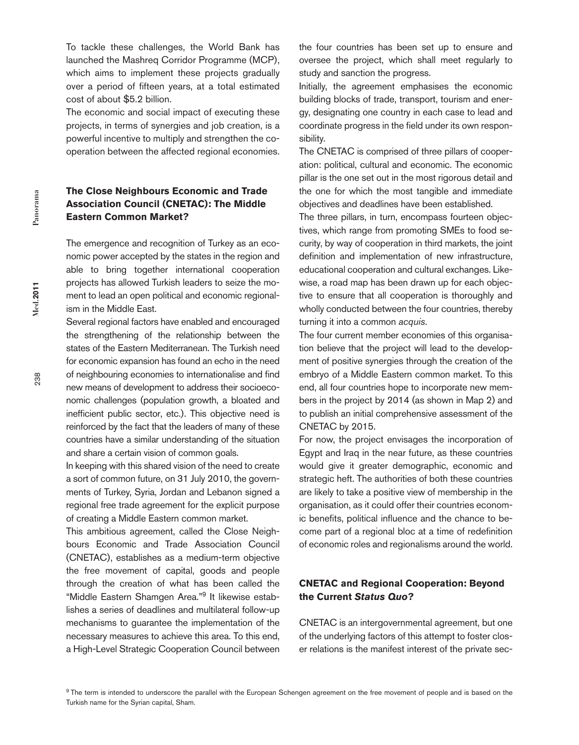To tackle these challenges, the World Bank has launched the Mashreq Corridor Programme (MCP), which aims to implement these projects gradually over a period of fifteen years, at a total estimated cost of about \$5.2 billion.

The economic and social impact of executing these projects, in terms of synergies and job creation, is a powerful incentive to multiply and strengthen the cooperation between the affected regional economies.

### **The Close Neighbours Economic and Trade Association Council (CNETAC): The Middle Eastern Common Market?**

The emergence and recognition of Turkey as an economic power accepted by the states in the region and able to bring together international cooperation projects has allowed Turkish leaders to seize the moment to lead an open political and economic regionalism in the Middle East.

Several regional factors have enabled and encouraged the strengthening of the relationship between the states of the Eastern Mediterranean. The Turkish need for economic expansion has found an echo in the need of neighbouring economies to internationalise and find new means of development to address their socioeconomic challenges (population growth, a bloated and inefficient public sector, etc.). This objective need is reinforced by the fact that the leaders of many of these countries have a similar understanding of the situation and share a certain vision of common goals.

In keeping with this shared vision of the need to create a sort of common future, on 31 July 2010, the governments of Turkey, Syria, Jordan and Lebanon signed a regional free trade agreement for the explicit purpose of creating a Middle Eastern common market.

This ambitious agreement, called the Close Neighbours Economic and Trade Association Council (CNETAC), establishes as a medium-term objective the free movement of capital, goods and people through the creation of what has been called the "Middle Eastern Shamgen Area."9 It likewise establishes a series of deadlines and multilateral follow-up mechanisms to guarantee the implementation of the necessary measures to achieve this area. To this end, a High-Level Strategic Cooperation Council between

the four countries has been set up to ensure and oversee the project, which shall meet regularly to study and sanction the progress.

Initially, the agreement emphasises the economic building blocks of trade, transport, tourism and energy, designating one country in each case to lead and coordinate progress in the field under its own responsibility.

The CNETAC is comprised of three pillars of cooperation: political, cultural and economic. The economic pillar is the one set out in the most rigorous detail and the one for which the most tangible and immediate objectives and deadlines have been established.

The three pillars, in turn, encompass fourteen objectives, which range from promoting SMEs to food security, by way of cooperation in third markets, the joint definition and implementation of new infrastructure, educational cooperation and cultural exchanges. Likewise, a road map has been drawn up for each objective to ensure that all cooperation is thoroughly and wholly conducted between the four countries, thereby turning it into a common *acquis*.

The four current member economies of this organisation believe that the project will lead to the development of positive synergies through the creation of the embryo of a Middle Eastern common market. To this end, all four countries hope to incorporate new members in the project by 2014 (as shown in Map 2) and to publish an initial comprehensive assessment of the CNETAC by 2015.

For now, the project envisages the incorporation of Egypt and Iraq in the near future, as these countries would give it greater demographic, economic and strategic heft. The authorities of both these countries are likely to take a positive view of membership in the organisation, as it could offer their countries economic benefits, political influence and the chance to become part of a regional bloc at a time of redefinition of economic roles and regionalisms around the world.

### **CNETAC and Regional Cooperation: Beyond the Current** *Status Quo***?**

CNETAC is an intergovernmental agreement, but one of the underlying factors of this attempt to foster closer relations is the manifest interest of the private sec-

<sup>&</sup>lt;sup>9</sup> The term is intended to underscore the parallel with the European Schengen agreement on the free movement of people and is based on the Turkish name for the Syrian capital, Sham.